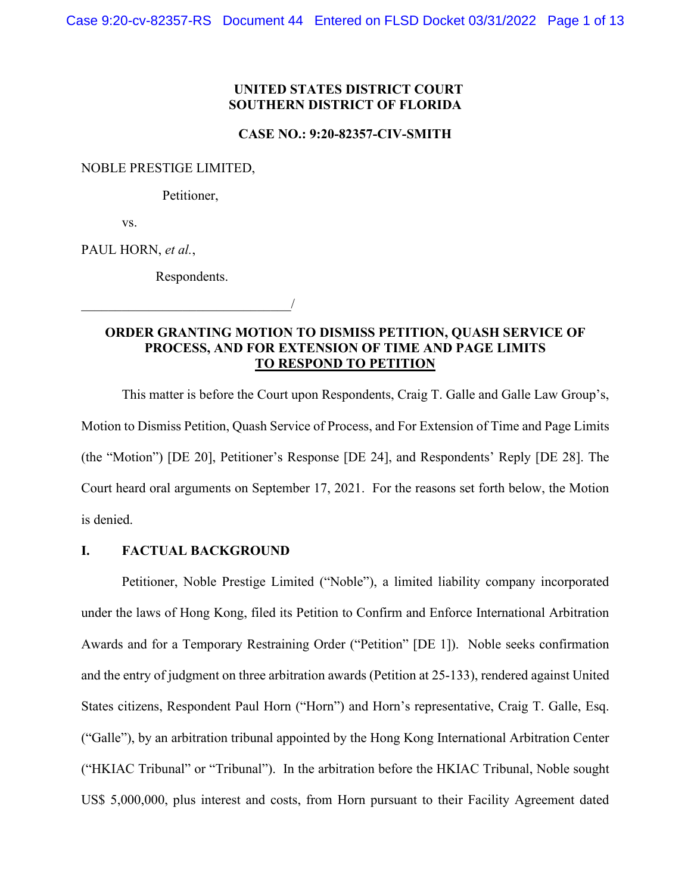## **UNITED STATES DISTRICT COURT SOUTHERN DISTRICT OF FLORIDA**

#### **CASE NO.: 9:20-82357-CIV-SMITH**

NOBLE PRESTIGE LIMITED,

Petitioner,

vs.

PAUL HORN, *et al.*,

Respondents.

\_\_\_\_\_\_\_\_\_\_\_\_\_\_\_\_\_\_\_\_\_\_\_\_\_\_\_\_\_\_\_/

# **ORDER GRANTING MOTION TO DISMISS PETITION, QUASH SERVICE OF PROCESS, AND FOR EXTENSION OF TIME AND PAGE LIMITS TO RESPOND TO PETITION**

This matter is before the Court upon Respondents, Craig T. Galle and Galle Law Group's, Motion to Dismiss Petition, Quash Service of Process, and For Extension of Time and Page Limits (the "Motion") [DE 20], Petitioner's Response [DE 24], and Respondents' Reply [DE 28]. The Court heard oral arguments on September 17, 2021. For the reasons set forth below, the Motion is denied.

#### **I. FACTUAL BACKGROUND**

Petitioner, Noble Prestige Limited ("Noble"), a limited liability company incorporated under the laws of Hong Kong, filed its Petition to Confirm and Enforce International Arbitration Awards and for a Temporary Restraining Order ("Petition" [DE 1]). Noble seeks confirmation and the entry of judgment on three arbitration awards (Petition at 25-133), rendered against United States citizens, Respondent Paul Horn ("Horn") and Horn's representative, Craig T. Galle, Esq. ("Galle"), by an arbitration tribunal appointed by the Hong Kong International Arbitration Center ("HKIAC Tribunal" or "Tribunal"). In the arbitration before the HKIAC Tribunal, Noble sought US\$ 5,000,000, plus interest and costs, from Horn pursuant to their Facility Agreement dated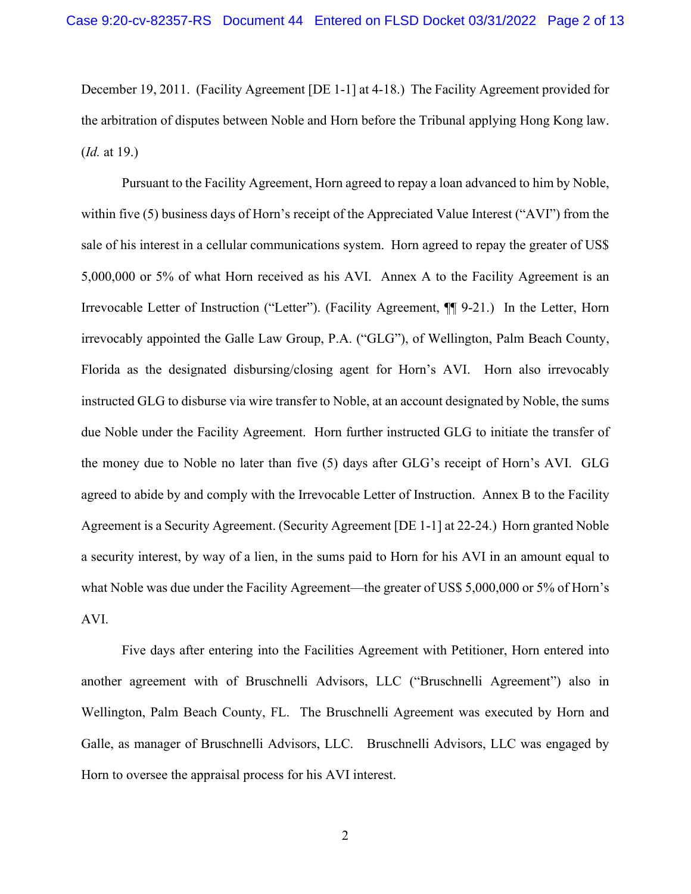December 19, 2011. (Facility Agreement [DE 1-1] at 4-18.) The Facility Agreement provided for the arbitration of disputes between Noble and Horn before the Tribunal applying Hong Kong law. (*Id.* at 19.)

Pursuant to the Facility Agreement, Horn agreed to repay a loan advanced to him by Noble, within five (5) business days of Horn's receipt of the Appreciated Value Interest ("AVI") from the sale of his interest in a cellular communications system. Horn agreed to repay the greater of US\$ 5,000,000 or 5% of what Horn received as his AVI. Annex A to the Facility Agreement is an Irrevocable Letter of Instruction ("Letter"). (Facility Agreement, ¶¶ 9-21.) In the Letter, Horn irrevocably appointed the Galle Law Group, P.A. ("GLG"), of Wellington, Palm Beach County, Florida as the designated disbursing/closing agent for Horn's AVI. Horn also irrevocably instructed GLG to disburse via wire transfer to Noble, at an account designated by Noble, the sums due Noble under the Facility Agreement. Horn further instructed GLG to initiate the transfer of the money due to Noble no later than five (5) days after GLG's receipt of Horn's AVI. GLG agreed to abide by and comply with the Irrevocable Letter of Instruction. Annex B to the Facility Agreement is a Security Agreement. (Security Agreement [DE 1-1] at 22-24.) Horn granted Noble a security interest, by way of a lien, in the sums paid to Horn for his AVI in an amount equal to what Noble was due under the Facility Agreement—the greater of US\$ 5,000,000 or 5% of Horn's AVI.

Five days after entering into the Facilities Agreement with Petitioner, Horn entered into another agreement with of Bruschnelli Advisors, LLC ("Bruschnelli Agreement") also in Wellington, Palm Beach County, FL. The Bruschnelli Agreement was executed by Horn and Galle, as manager of Bruschnelli Advisors, LLC. Bruschnelli Advisors, LLC was engaged by Horn to oversee the appraisal process for his AVI interest.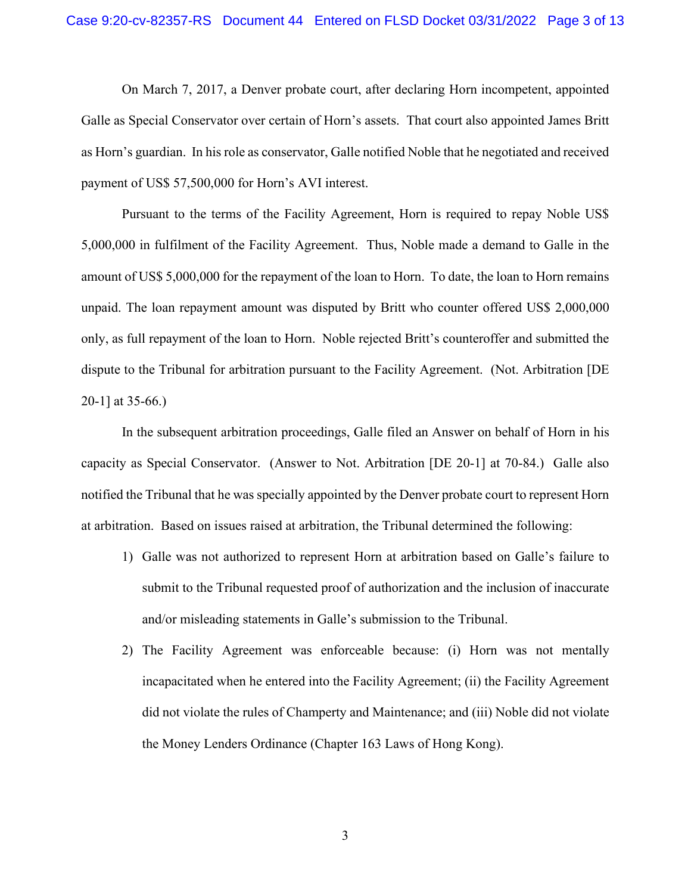On March 7, 2017, a Denver probate court, after declaring Horn incompetent, appointed Galle as Special Conservator over certain of Horn's assets. That court also appointed James Britt as Horn's guardian. In his role as conservator, Galle notified Noble that he negotiated and received payment of US\$ 57,500,000 for Horn's AVI interest.

Pursuant to the terms of the Facility Agreement, Horn is required to repay Noble US\$ 5,000,000 in fulfilment of the Facility Agreement. Thus, Noble made a demand to Galle in the amount of US\$ 5,000,000 for the repayment of the loan to Horn. To date, the loan to Horn remains unpaid. The loan repayment amount was disputed by Britt who counter offered US\$ 2,000,000 only, as full repayment of the loan to Horn. Noble rejected Britt's counteroffer and submitted the dispute to the Tribunal for arbitration pursuant to the Facility Agreement. (Not. Arbitration [DE 20-1] at 35-66.)

In the subsequent arbitration proceedings, Galle filed an Answer on behalf of Horn in his capacity as Special Conservator. (Answer to Not. Arbitration [DE 20-1] at 70-84.) Galle also notified the Tribunal that he was specially appointed by the Denver probate court to represent Horn at arbitration. Based on issues raised at arbitration, the Tribunal determined the following:

- 1) Galle was not authorized to represent Horn at arbitration based on Galle's failure to submit to the Tribunal requested proof of authorization and the inclusion of inaccurate and/or misleading statements in Galle's submission to the Tribunal.
- 2) The Facility Agreement was enforceable because: (i) Horn was not mentally incapacitated when he entered into the Facility Agreement; (ii) the Facility Agreement did not violate the rules of Champerty and Maintenance; and (iii) Noble did not violate the Money Lenders Ordinance (Chapter 163 Laws of Hong Kong).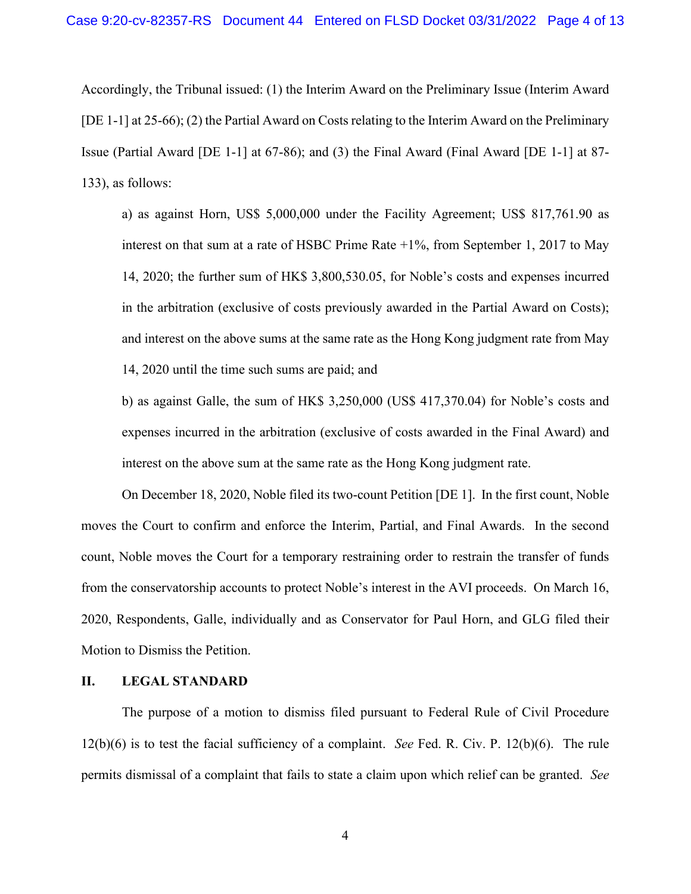Accordingly, the Tribunal issued: (1) the Interim Award on the Preliminary Issue (Interim Award [DE 1-1] at 25-66); (2) the Partial Award on Costs relating to the Interim Award on the Preliminary Issue (Partial Award [DE 1-1] at 67-86); and (3) the Final Award (Final Award [DE 1-1] at 87- 133), as follows:

a) as against Horn, US\$ 5,000,000 under the Facility Agreement; US\$ 817,761.90 as interest on that sum at a rate of HSBC Prime Rate +1%, from September 1, 2017 to May 14, 2020; the further sum of HK\$ 3,800,530.05, for Noble's costs and expenses incurred in the arbitration (exclusive of costs previously awarded in the Partial Award on Costs); and interest on the above sums at the same rate as the Hong Kong judgment rate from May 14, 2020 until the time such sums are paid; and

b) as against Galle, the sum of HK\$ 3,250,000 (US\$ 417,370.04) for Noble's costs and expenses incurred in the arbitration (exclusive of costs awarded in the Final Award) and interest on the above sum at the same rate as the Hong Kong judgment rate.

On December 18, 2020, Noble filed its two-count Petition [DE 1]. In the first count, Noble moves the Court to confirm and enforce the Interim, Partial, and Final Awards. In the second count, Noble moves the Court for a temporary restraining order to restrain the transfer of funds from the conservatorship accounts to protect Noble's interest in the AVI proceeds. On March 16, 2020, Respondents, Galle, individually and as Conservator for Paul Horn, and GLG filed their Motion to Dismiss the Petition.

## **II. LEGAL STANDARD**

The purpose of a motion to dismiss filed pursuant to Federal Rule of Civil Procedure 12(b)(6) is to test the facial sufficiency of a complaint. *See* Fed. R. Civ. P. 12(b)(6). The rule permits dismissal of a complaint that fails to state a claim upon which relief can be granted. *See*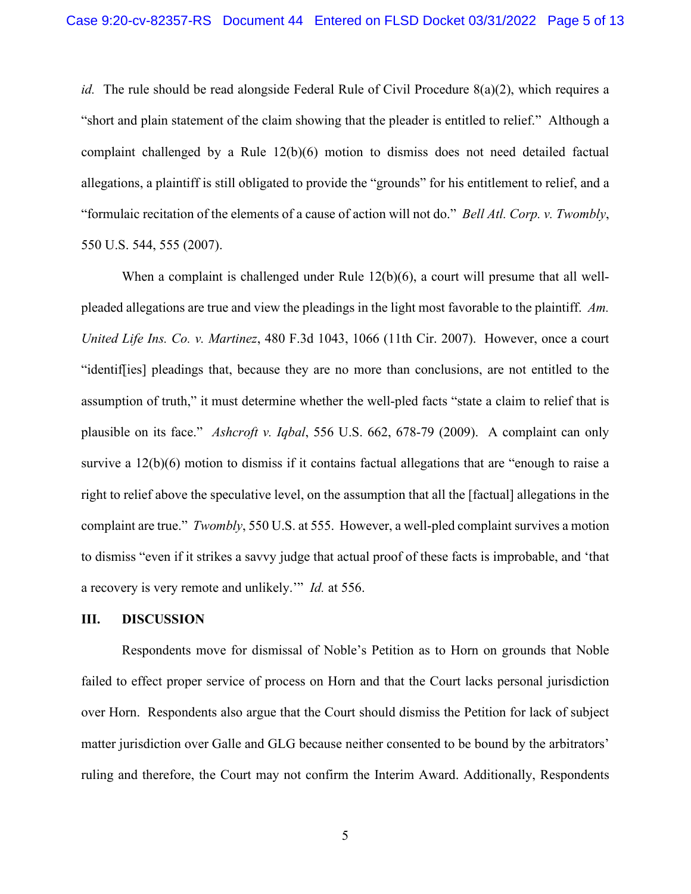*id.* The rule should be read alongside Federal Rule of Civil Procedure 8(a)(2), which requires a "short and plain statement of the claim showing that the pleader is entitled to relief." Although a complaint challenged by a Rule 12(b)(6) motion to dismiss does not need detailed factual allegations, a plaintiff is still obligated to provide the "grounds" for his entitlement to relief, and a "formulaic recitation of the elements of a cause of action will not do." *Bell Atl. Corp. v. Twombly*, 550 U.S. 544, 555 (2007).

When a complaint is challenged under Rule 12(b)(6), a court will presume that all wellpleaded allegations are true and view the pleadings in the light most favorable to the plaintiff. *Am. United Life Ins. Co. v. Martinez*, 480 F.3d 1043, 1066 (11th Cir. 2007). However, once a court "identif[ies] pleadings that, because they are no more than conclusions, are not entitled to the assumption of truth," it must determine whether the well-pled facts "state a claim to relief that is plausible on its face." *Ashcroft v. Iqbal*, 556 U.S. 662, 678-79 (2009). A complaint can only survive a 12(b)(6) motion to dismiss if it contains factual allegations that are "enough to raise a right to relief above the speculative level, on the assumption that all the [factual] allegations in the complaint are true." *Twombly*, 550 U.S. at 555. However, a well-pled complaint survives a motion to dismiss "even if it strikes a savvy judge that actual proof of these facts is improbable, and 'that a recovery is very remote and unlikely.'" *Id.* at 556.

#### **III. DISCUSSION**

Respondents move for dismissal of Noble's Petition as to Horn on grounds that Noble failed to effect proper service of process on Horn and that the Court lacks personal jurisdiction over Horn. Respondents also argue that the Court should dismiss the Petition for lack of subject matter jurisdiction over Galle and GLG because neither consented to be bound by the arbitrators' ruling and therefore, the Court may not confirm the Interim Award. Additionally, Respondents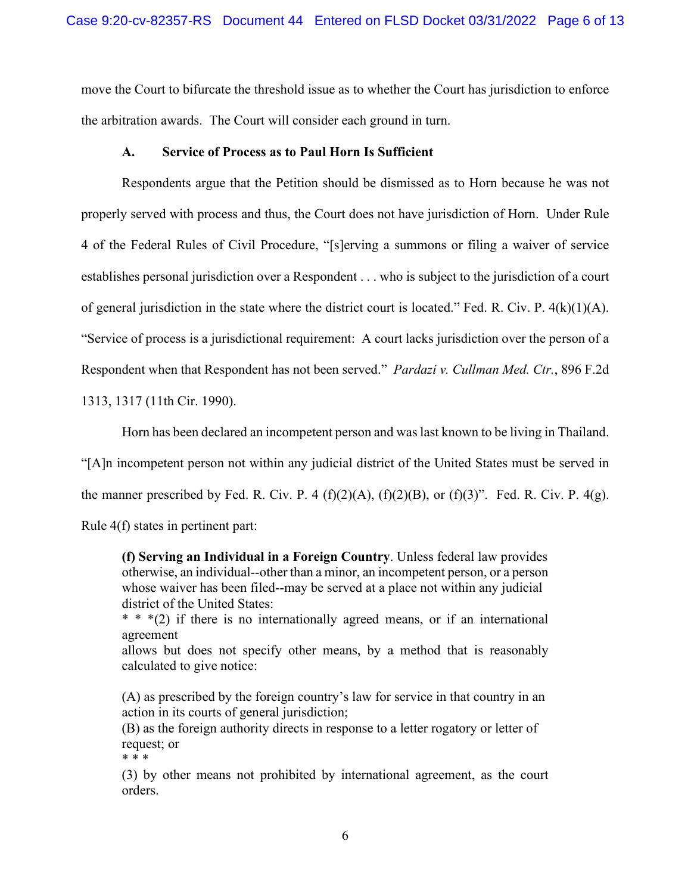move the Court to bifurcate the threshold issue as to whether the Court has jurisdiction to enforce the arbitration awards. The Court will consider each ground in turn.

### **A. Service of Process as to Paul Horn Is Sufficient**

Respondents argue that the Petition should be dismissed as to Horn because he was not properly served with process and thus, the Court does not have jurisdiction of Horn. Under Rule 4 of the Federal Rules of Civil Procedure, "[s]erving a summons or filing a waiver of service establishes personal jurisdiction over a Respondent . . . who is subject to the jurisdiction of a court of general jurisdiction in the state where the district court is located." Fed. R. Civ. P. 4(k)(1)(A). "Service of process is a jurisdictional requirement: A court lacks jurisdiction over the person of a Respondent when that Respondent has not been served." *Pardazi v. Cullman Med. Ctr.*, 896 F.2d 1313, 1317 (11th Cir. 1990).

Horn has been declared an incompetent person and was last known to be living in Thailand. "[A]n incompetent person not within any judicial district of the United States must be served in the manner prescribed by Fed. R. Civ. P. 4  $(f)(2)(A)$ ,  $(f)(2)(B)$ , or  $(f)(3)$ ". Fed. R. Civ. P. 4(g). Rule 4(f) states in pertinent part:

**(f) Serving an Individual in a Foreign Country**. Unless federal law provides otherwise, an individual--other than a minor, an incompetent person, or a person whose waiver has been filed--may be served at a place not within any judicial district of the United States:

\* \* \*(2) if there is no internationally agreed means, or if an international agreement

allows but does not specify other means, by a method that is reasonably calculated to give notice:

(A) as prescribed by the foreign country's law for service in that country in an action in its courts of general jurisdiction;

(B) as the foreign authority directs in response to a letter rogatory or letter of request; or \* \* \*

(3) by other means not prohibited by international agreement, as the court orders.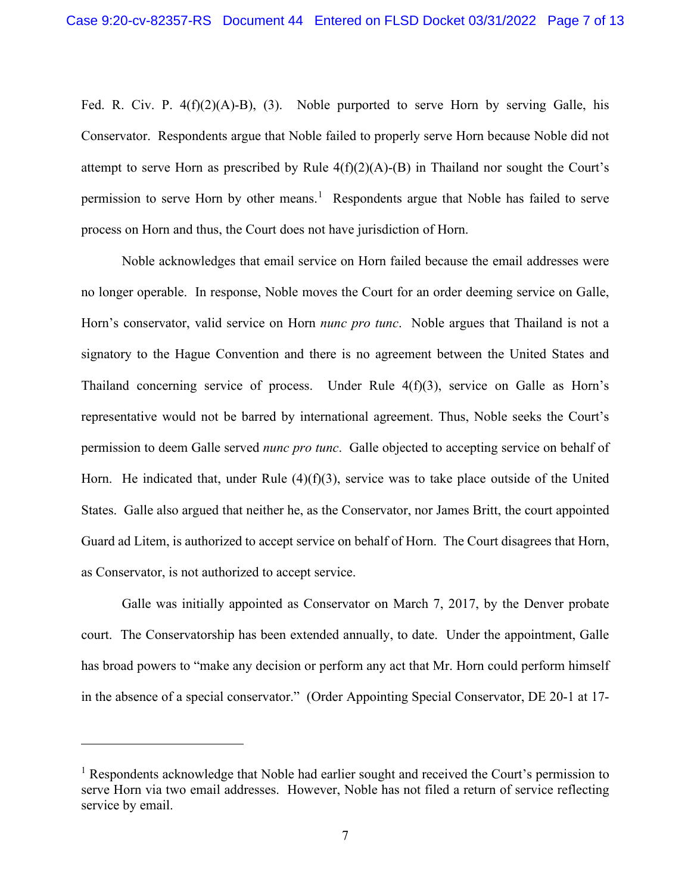Fed. R. Civ. P.  $4(f)(2)(A)-B)$ , (3). Noble purported to serve Horn by serving Galle, his Conservator. Respondents argue that Noble failed to properly serve Horn because Noble did not attempt to serve Horn as prescribed by Rule  $4(f)(2)(A)-(B)$  in Thailand nor sought the Court's permission to serve Horn by other means.<sup>[1](#page-6-0)</sup> Respondents argue that Noble has failed to serve process on Horn and thus, the Court does not have jurisdiction of Horn.

Noble acknowledges that email service on Horn failed because the email addresses were no longer operable. In response, Noble moves the Court for an order deeming service on Galle, Horn's conservator, valid service on Horn *nunc pro tunc*. Noble argues that Thailand is not a signatory to the Hague Convention and there is no agreement between the United States and Thailand concerning service of process. Under Rule 4(f)(3), service on Galle as Horn's representative would not be barred by international agreement. Thus, Noble seeks the Court's permission to deem Galle served *nunc pro tunc*. Galle objected to accepting service on behalf of Horn. He indicated that, under Rule  $(4)(f)(3)$ , service was to take place outside of the United States. Galle also argued that neither he, as the Conservator, nor James Britt, the court appointed Guard ad Litem, is authorized to accept service on behalf of Horn. The Court disagrees that Horn, as Conservator, is not authorized to accept service.

Galle was initially appointed as Conservator on March 7, 2017, by the Denver probate court. The Conservatorship has been extended annually, to date. Under the appointment, Galle has broad powers to "make any decision or perform any act that Mr. Horn could perform himself in the absence of a special conservator." (Order Appointing Special Conservator, DE 20-1 at 17-

<span id="page-6-0"></span> $<sup>1</sup>$  Respondents acknowledge that Noble had earlier sought and received the Court's permission to</sup> serve Horn via two email addresses. However, Noble has not filed a return of service reflecting service by email.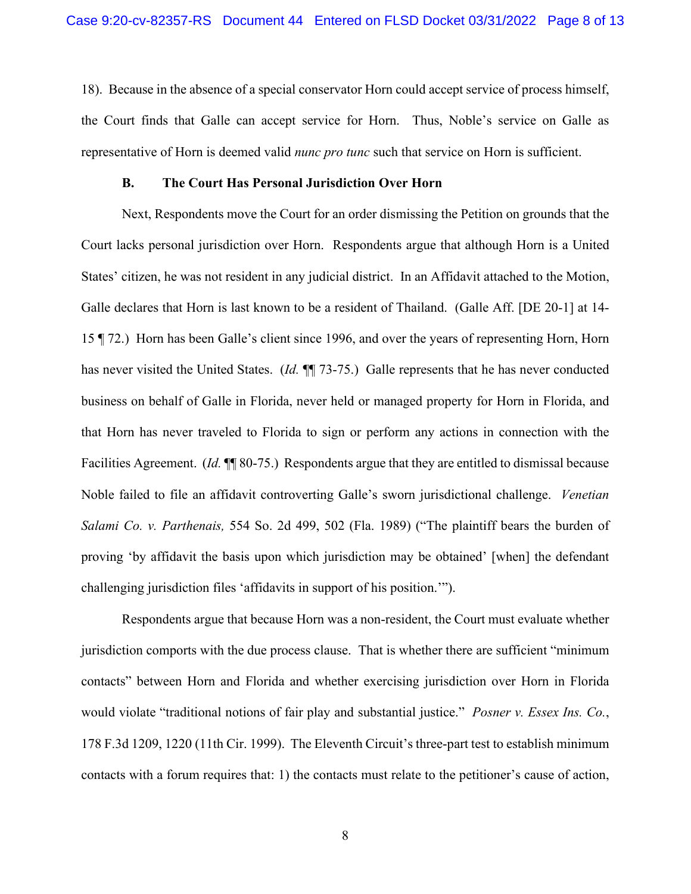18). Because in the absence of a special conservator Horn could accept service of process himself, the Court finds that Galle can accept service for Horn. Thus, Noble's service on Galle as representative of Horn is deemed valid *nunc pro tunc* such that service on Horn is sufficient.

#### **B. The Court Has Personal Jurisdiction Over Horn**

Next, Respondents move the Court for an order dismissing the Petition on grounds that the Court lacks personal jurisdiction over Horn. Respondents argue that although Horn is a United States' citizen, he was not resident in any judicial district. In an Affidavit attached to the Motion, Galle declares that Horn is last known to be a resident of Thailand. (Galle Aff. [DE 20-1] at 14- 15 ¶ 72.) Horn has been Galle's client since 1996, and over the years of representing Horn, Horn has never visited the United States. (*Id.* ¶¶ 73-75.) Galle represents that he has never conducted business on behalf of Galle in Florida, never held or managed property for Horn in Florida, and that Horn has never traveled to Florida to sign or perform any actions in connection with the Facilities Agreement. (*Id.*  $\P\P$  80-75.) Respondents argue that they are entitled to dismissal because Noble failed to file an affidavit controverting Galle's sworn jurisdictional challenge. *Venetian Salami Co. v. Parthenais,* 554 So. 2d 499, 502 (Fla. 1989) ("The plaintiff bears the burden of proving 'by affidavit the basis upon which jurisdiction may be obtained' [when] the defendant challenging jurisdiction files 'affidavits in support of his position.'").

Respondents argue that because Horn was a non-resident, the Court must evaluate whether jurisdiction comports with the due process clause. That is whether there are sufficient "minimum contacts" between Horn and Florida and whether exercising jurisdiction over Horn in Florida would violate "traditional notions of fair play and substantial justice." *Posner v. Essex Ins. Co.*, 178 F.3d 1209, 1220 (11th Cir. 1999). The Eleventh Circuit's three-part test to establish minimum contacts with a forum requires that: 1) the contacts must relate to the petitioner's cause of action,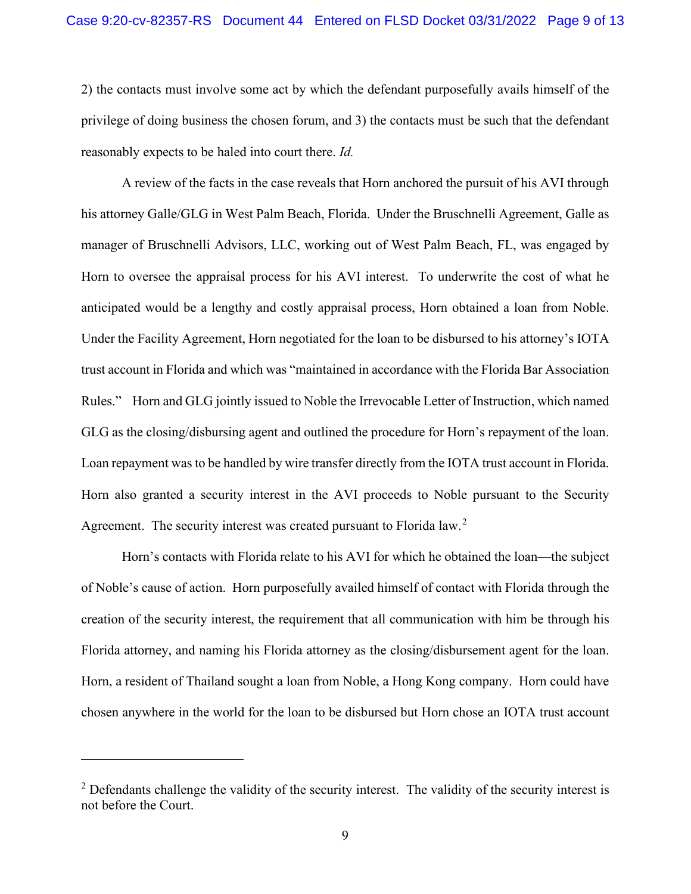2) the contacts must involve some act by which the defendant purposefully avails himself of the privilege of doing business the chosen forum, and 3) the contacts must be such that the defendant reasonably expects to be haled into court there. *Id.*

A review of the facts in the case reveals that Horn anchored the pursuit of his AVI through his attorney Galle/GLG in West Palm Beach, Florida. Under the Bruschnelli Agreement, Galle as manager of Bruschnelli Advisors, LLC, working out of West Palm Beach, FL, was engaged by Horn to oversee the appraisal process for his AVI interest. To underwrite the cost of what he anticipated would be a lengthy and costly appraisal process, Horn obtained a loan from Noble. Under the Facility Agreement, Horn negotiated for the loan to be disbursed to his attorney's IOTA trust account in Florida and which was "maintained in accordance with the Florida Bar Association Rules." Horn and GLG jointly issued to Noble the Irrevocable Letter of Instruction, which named GLG as the closing/disbursing agent and outlined the procedure for Horn's repayment of the loan. Loan repayment was to be handled by wire transfer directly from the IOTA trust account in Florida. Horn also granted a security interest in the AVI proceeds to Noble pursuant to the Security Agreement. The security interest was created pursuant to Florida law.<sup>[2](#page-8-0)</sup>

Horn's contacts with Florida relate to his AVI for which he obtained the loan—the subject of Noble's cause of action. Horn purposefully availed himself of contact with Florida through the creation of the security interest, the requirement that all communication with him be through his Florida attorney, and naming his Florida attorney as the closing/disbursement agent for the loan. Horn, a resident of Thailand sought a loan from Noble, a Hong Kong company. Horn could have chosen anywhere in the world for the loan to be disbursed but Horn chose an IOTA trust account

<span id="page-8-0"></span><sup>&</sup>lt;sup>2</sup> Defendants challenge the validity of the security interest. The validity of the security interest is not before the Court.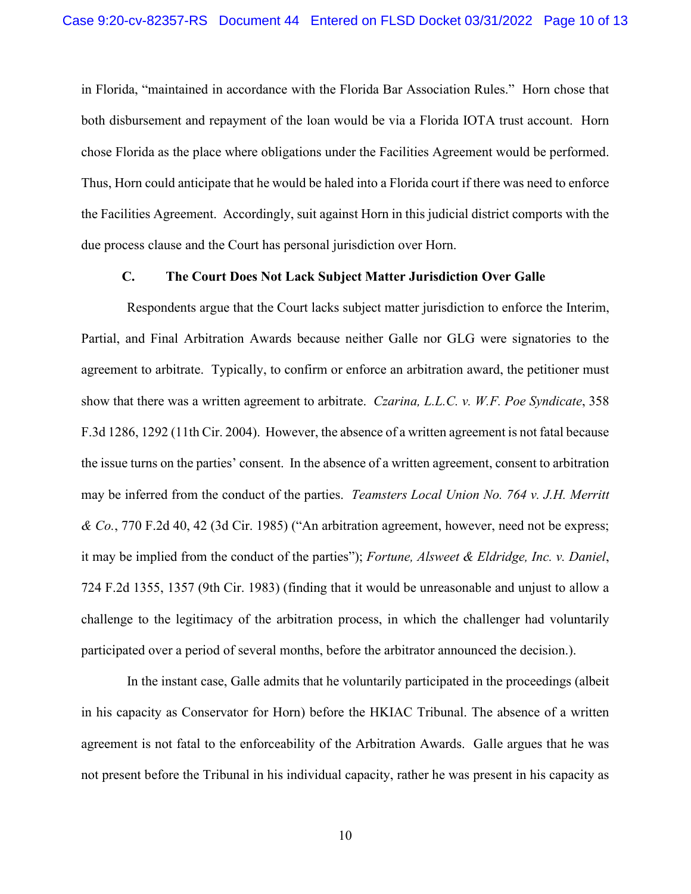in Florida, "maintained in accordance with the Florida Bar Association Rules." Horn chose that both disbursement and repayment of the loan would be via a Florida IOTA trust account. Horn chose Florida as the place where obligations under the Facilities Agreement would be performed. Thus, Horn could anticipate that he would be haled into a Florida court if there was need to enforce the Facilities Agreement. Accordingly, suit against Horn in this judicial district comports with the due process clause and the Court has personal jurisdiction over Horn.

## **C. The Court Does Not Lack Subject Matter Jurisdiction Over Galle**

Respondents argue that the Court lacks subject matter jurisdiction to enforce the Interim, Partial, and Final Arbitration Awards because neither Galle nor GLG were signatories to the agreement to arbitrate. Typically, to confirm or enforce an arbitration award, the petitioner must show that there was a written agreement to arbitrate. *Czarina, L.L.C. v. W.F. Poe Syndicate*, 358 F.3d 1286, 1292 (11th Cir. 2004). However, the absence of a written agreement is not fatal because the issue turns on the parties' consent. In the absence of a written agreement, consent to arbitration may be inferred from the conduct of the parties. *Teamsters Local Union No. 764 v. J.H. Merritt & Co.*, 770 F.2d 40, 42 (3d Cir. 1985) ("An arbitration agreement, however, need not be express; it may be implied from the conduct of the parties"); *Fortune, Alsweet & Eldridge, Inc. v. Daniel*, 724 F.2d 1355, 1357 (9th Cir. 1983) (finding that it would be unreasonable and unjust to allow a challenge to the legitimacy of the arbitration process, in which the challenger had voluntarily participated over a period of several months, before the arbitrator announced the decision.).

In the instant case, Galle admits that he voluntarily participated in the proceedings (albeit in his capacity as Conservator for Horn) before the HKIAC Tribunal. The absence of a written agreement is not fatal to the enforceability of the Arbitration Awards. Galle argues that he was not present before the Tribunal in his individual capacity, rather he was present in his capacity as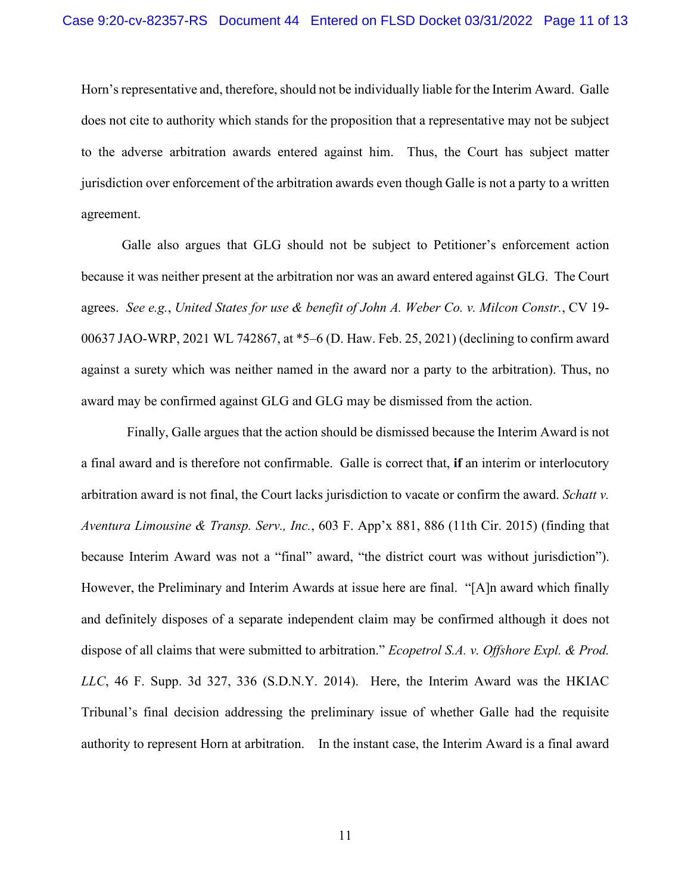Horn's representative and, therefore, should not be individually liable for the Interim Award. Galle does not cite to authority which stands for the proposition that a representative may not be subject to the adverse arbitration awards entered against him. Thus, the Court has subject matter jurisdiction over enforcement of the arbitration awards even though Galle is not a party to a written agreement.

Galle also argues that GLG should not be subject to Petitioner's enforcement action because it was neither present at the arbitration nor was an award entered against GLG. The Court agrees. *See e.g.*, *United States for use & benefit of John A. Weber Co. v. Milcon Constr.*, CV 19- 00637 JAO-WRP, 2021 WL 742867, at \*5–6 (D. Haw. Feb. 25, 2021) (declining to confirm award against a surety which was neither named in the award nor a party to the arbitration). Thus, no award may be confirmed against GLG and GLG may be dismissed from the action.

Finally, Galle argues that the action should be dismissed because the Interim Award is not a final award and is therefore not confirmable. Galle is correct that, **if** an interim or interlocutory arbitration award is not final, the Court lacks jurisdiction to vacate or confirm the award. *Schatt v. Aventura Limousine & Transp. Serv., Inc.*, 603 F. App'x 881, 886 (11th Cir. 2015) (finding that because Interim Award was not a "final" award, "the district court was without jurisdiction"). However, the Preliminary and Interim Awards at issue here are final. "[A]n award which finally and definitely disposes of a separate independent claim may be confirmed although it does not dispose of all claims that were submitted to arbitration." *Ecopetrol S.A. v. Offshore Expl. & Prod. LLC*, 46 F. Supp. 3d 327, 336 (S.D.N.Y. 2014). Here, the Interim Award was the HKIAC Tribunal's final decision addressing the preliminary issue of whether Galle had the requisite authority to represent Horn at arbitration. In the instant case, the Interim Award is a final award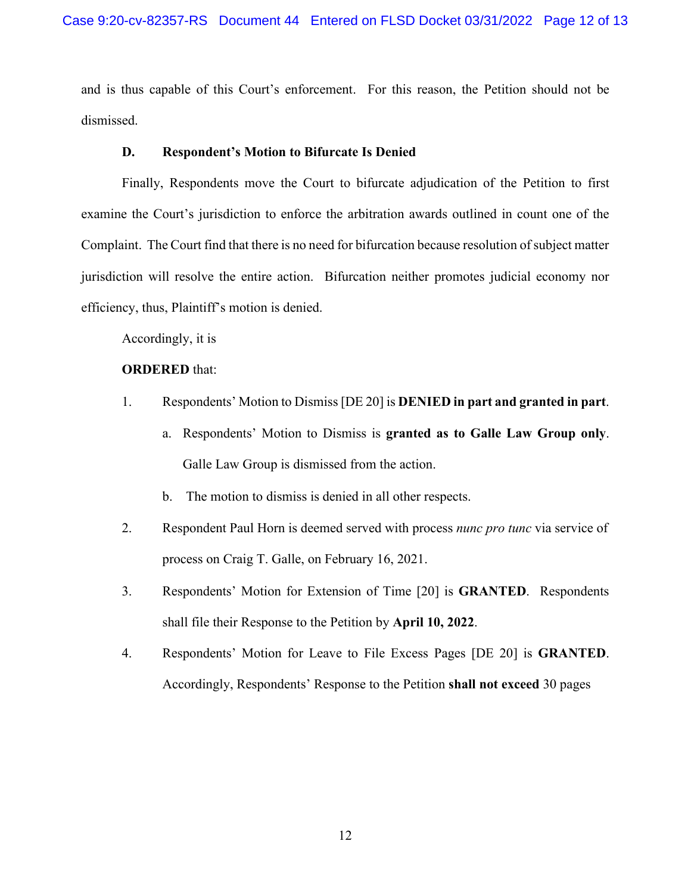and is thus capable of this Court's enforcement. For this reason, the Petition should not be dismissed.

#### **D. Respondent's Motion to Bifurcate Is Denied**

Finally, Respondents move the Court to bifurcate adjudication of the Petition to first examine the Court's jurisdiction to enforce the arbitration awards outlined in count one of the Complaint. The Court find that there is no need for bifurcation because resolution of subject matter jurisdiction will resolve the entire action. Bifurcation neither promotes judicial economy nor efficiency, thus, Plaintiff's motion is denied.

Accordingly, it is

# **ORDERED** that:

- 1. Respondents' Motion to Dismiss [DE 20] is **DENIED in part and granted in part**.
	- a. Respondents' Motion to Dismiss is **granted as to Galle Law Group only**. Galle Law Group is dismissed from the action.
	- b. The motion to dismiss is denied in all other respects.
- 2. Respondent Paul Horn is deemed served with process *nunc pro tunc* via service of process on Craig T. Galle, on February 16, 2021.
- 3. Respondents' Motion for Extension of Time [20] is **GRANTED**. Respondents shall file their Response to the Petition by **April 10, 2022**.
- 4. Respondents' Motion for Leave to File Excess Pages [DE 20] is **GRANTED**. Accordingly, Respondents' Response to the Petition **shall not exceed** 30 pages